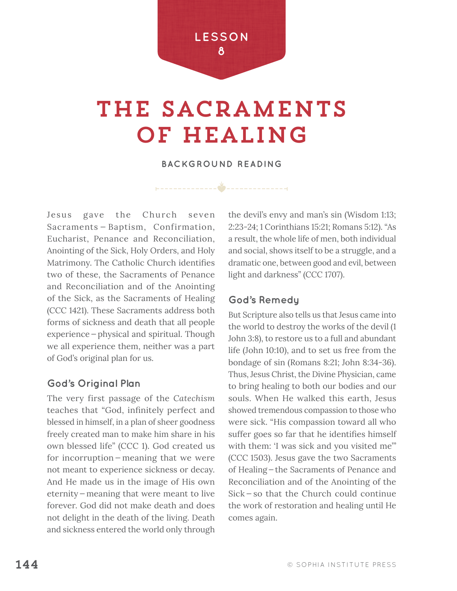

# THE SACRAMENTS of healing

**BACKGROUND READING**

Jesus gave the Church seven Sacraments — Baptism, Confirmation, Eucharist, Penance and Reconciliation, Anointing of the Sick, Holy Orders, and Holy Matrimony. The Catholic Church identifies two of these, the Sacraments of Penance and Reconciliation and of the Anointing of the Sick, as the Sacraments of Healing (CCC 1421). These Sacraments address both forms of sickness and death that all people experience—physical and spiritual. Though we all experience them, neither was a part of God's original plan for us.

### **God's Original Plan**

The very first passage of the *Catechism* teaches that "God, infinitely perfect and blessed in himself, in a plan of sheer goodness freely created man to make him share in his own blessed life" (CCC 1). God created us for incorruption — meaning that we were not meant to experience sickness or decay. And He made us in the image of His own eternity—meaning that were meant to live forever. God did not make death and does not delight in the death of the living. Death and sickness entered the world only through the devil's envy and man's sin (Wisdom 1:13; 2:23-24; 1 Corinthians 15:21; Romans 5:12). "As a result, the whole life of men, both individual and social, shows itself to be a struggle, and a dramatic one, between good and evil, between light and darkness" (CCC 1707).

### **God's Remedy**

But Scripture also tells us that Jesus came into the world to destroy the works of the devil (1 John 3:8), to restore us to a full and abundant life (John 10:10), and to set us free from the bondage of sin (Romans 8:21; John 8:34-36). Thus, Jesus Christ, the Divine Physician, came to bring healing to both our bodies and our souls. When He walked this earth, Jesus showed tremendous compassion to those who were sick. "His compassion toward all who suffer goes so far that he identifies himself with them: 'I was sick and you visited me" (CCC 1503). Jesus gave the two Sacraments of Healing—the Sacraments of Penance and Reconciliation and of the Anointing of the Sick — so that the Church could continue the work of restoration and healing until He comes again.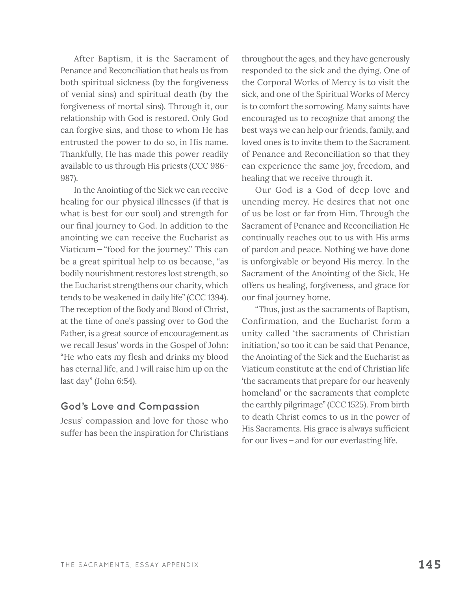After Baptism, it is the Sacrament of Penance and Reconciliation that heals us from both spiritual sickness (by the forgiveness of venial sins) and spiritual death (by the forgiveness of mortal sins). Through it, our relationship with God is restored. Only God can forgive sins, and those to whom He has entrusted the power to do so, in His name. Thankfully, He has made this power readily available to us through His priests (CCC 986- 987).

In the Anointing of the Sick we can receive healing for our physical illnesses (if that is what is best for our soul) and strength for our final journey to God. In addition to the anointing we can receive the Eucharist as Viaticum—"food for the journey." This can be a great spiritual help to us because, "as bodily nourishment restores lost strength, so the Eucharist strengthens our charity, which tends to be weakened in daily life" (CCC 1394). The reception of the Body and Blood of Christ, at the time of one's passing over to God the Father, is a great source of encouragement as we recall Jesus' words in the Gospel of John: "He who eats my flesh and drinks my blood has eternal life, and I will raise him up on the last day" (John 6:54).

### **God's Love and Compassion**

Jesus' compassion and love for those who suffer has been the inspiration for Christians throughout the ages, and they have generously responded to the sick and the dying. One of the Corporal Works of Mercy is to visit the sick, and one of the Spiritual Works of Mercy is to comfort the sorrowing. Many saints have encouraged us to recognize that among the best ways we can help our friends, family, and loved ones is to invite them to the Sacrament of Penance and Reconciliation so that they can experience the same joy, freedom, and healing that we receive through it.

Our God is a God of deep love and unending mercy. He desires that not one of us be lost or far from Him. Through the Sacrament of Penance and Reconciliation He continually reaches out to us with His arms of pardon and peace. Nothing we have done is unforgivable or beyond His mercy. In the Sacrament of the Anointing of the Sick, He offers us healing, forgiveness, and grace for our final journey home.

"Thus, just as the sacraments of Baptism, Confirmation, and the Eucharist form a unity called 'the sacraments of Christian initiation,' so too it can be said that Penance, the Anointing of the Sick and the Eucharist as Viaticum constitute at the end of Christian life 'the sacraments that prepare for our heavenly homeland' or the sacraments that complete the earthly pilgrimage" (CCC 1525). From birth to death Christ comes to us in the power of His Sacraments. His grace is always sufficient for our lives—and for our everlasting life.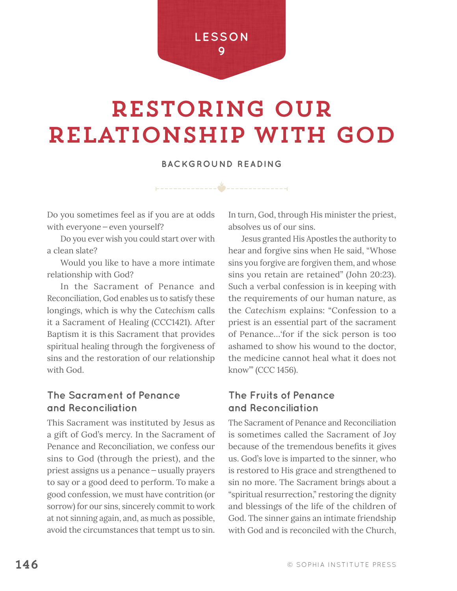

## restoring our relationship with god

**BACKGROUND READING**

Do you sometimes feel as if you are at odds with everyone—even yourself?

Do you ever wish you could start over with a clean slate?

Would you like to have a more intimate relationship with God?

In the Sacrament of Penance and Reconciliation, God enables us to satisfy these longings, which is why the *Catechism* calls it a Sacrament of Healing (CCC1421). After Baptism it is this Sacrament that provides spiritual healing through the forgiveness of sins and the restoration of our relationship with God.

### **The Sacrament of Penance and Reconciliation**

This Sacrament was instituted by Jesus as a gift of God's mercy. In the Sacrament of Penance and Reconciliation, we confess our sins to God (through the priest), and the priest assigns us a penance—usually prayers to say or a good deed to perform. To make a good confession, we must have contrition (or sorrow) for our sins, sincerely commit to work at not sinning again, and, as much as possible, avoid the circumstances that tempt us to sin. In turn, God, through His minister the priest, absolves us of our sins.

Jesus granted His Apostles the authority to hear and forgive sins when He said, "Whose sins you forgive are forgiven them, and whose sins you retain are retained" (John 20:23). Such a verbal confession is in keeping with the requirements of our human nature, as the *Catechism* explains: "Confession to a priest is an essential part of the sacrament of Penance…'for if the sick person is too ashamed to show his wound to the doctor, the medicine cannot heal what it does not know'" (CCC 1456).

### **The Fruits of Penance and Reconciliation**

The Sacrament of Penance and Reconciliation is sometimes called the Sacrament of Joy because of the tremendous benefits it gives us. God's love is imparted to the sinner, who is restored to His grace and strengthened to sin no more. The Sacrament brings about a "spiritual resurrection," restoring the dignity and blessings of the life of the children of God. The sinner gains an intimate friendship with God and is reconciled with the Church,